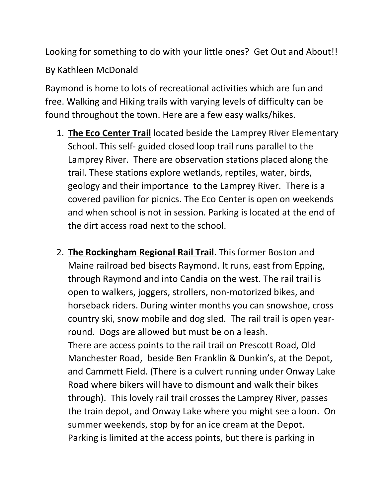Looking for something to do with your little ones? Get Out and About!!

By Kathleen McDonald

Raymond is home to lots of recreational activities which are fun and free. Walking and Hiking trails with varying levels of difficulty can be found throughout the town. Here are a few easy walks/hikes.

- 1. **The Eco Center Trail** located beside the Lamprey River Elementary School. This self- guided closed loop trail runs parallel to the Lamprey River. There are observation stations placed along the trail. These stations explore wetlands, reptiles, water, birds, geology and their importance to the Lamprey River. There is a covered pavilion for picnics. The Eco Center is open on weekends and when school is not in session. Parking is located at the end of the dirt access road next to the school.
- 2. **The Rockingham Regional Rail Trail**. This former Boston and Maine railroad bed bisects Raymond. It runs, east from Epping, through Raymond and into Candia on the west. The rail trail is open to walkers, joggers, strollers, non-motorized bikes, and horseback riders. During winter months you can snowshoe, cross country ski, snow mobile and dog sled. The rail trail is open yearround. Dogs are allowed but must be on a leash. There are access points to the rail trail on Prescott Road, Old Manchester Road, beside Ben Franklin & Dunkin's, at the Depot, and Cammett Field. (There is a culvert running under Onway Lake Road where bikers will have to dismount and walk their bikes through). This lovely rail trail crosses the Lamprey River, passes the train depot, and Onway Lake where you might see a loon. On summer weekends, stop by for an ice cream at the Depot. Parking is limited at the access points, but there is parking in